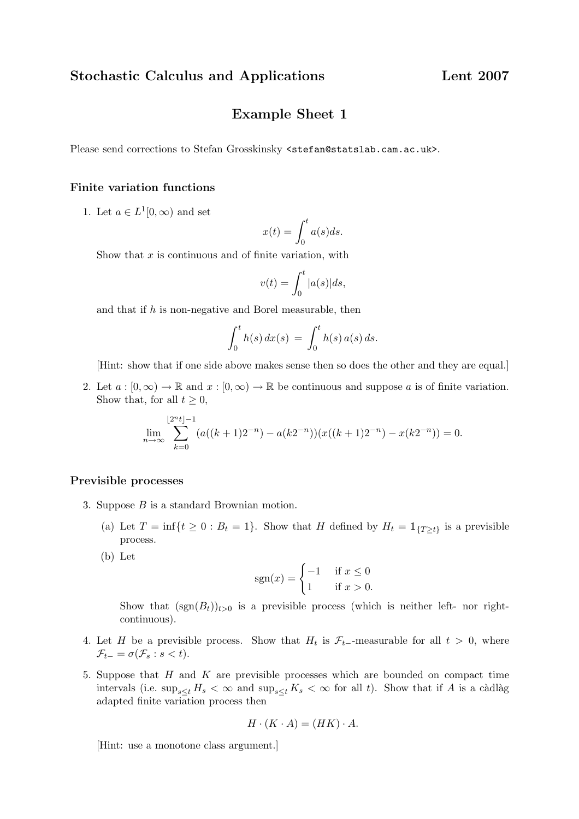# Example Sheet 1

Please send corrections to Stefan Grosskinsky <stefan@statslab.cam.ac.uk>.

# Finite variation functions

1. Let  $a \in L^1[0,\infty)$  and set

$$
x(t) = \int_0^t a(s)ds.
$$

Show that  $x$  is continuous and of finite variation, with

$$
v(t) = \int_0^t |a(s)|ds,
$$

and that if  $h$  is non-negative and Borel measurable, then

$$
\int_0^t h(s) dx(s) = \int_0^t h(s) a(s) ds.
$$

[Hint: show that if one side above makes sense then so does the other and they are equal.]

2. Let  $a : [0, \infty) \to \mathbb{R}$  and  $x : [0, \infty) \to \mathbb{R}$  be continuous and suppose a is of finite variation. Show that, for all  $t \geq 0$ ,

$$
\lim_{n \to \infty} \sum_{k=0}^{\lfloor 2^n t \rfloor - 1} (a((k+1)2^{-n}) - a(k2^{-n})) (x((k+1)2^{-n}) - x(k2^{-n})) = 0.
$$

#### Previsible processes

- 3. Suppose B is a standard Brownian motion.
	- (a) Let  $T = \inf\{t \geq 0 : B_t = 1\}$ . Show that H defined by  $H_t = \mathbb{1}_{\{T \geq t\}}$  is a previsible process.
	- (b) Let

$$
sgn(x) = \begin{cases} -1 & \text{if } x \le 0\\ 1 & \text{if } x > 0. \end{cases}
$$

Show that  $(\text{sgn}(B_t))_{t>0}$  is a previsible process (which is neither left- nor rightcontinuous).

- 4. Let H be a previsible process. Show that  $H_t$  is  $\mathcal{F}_{t-}$ -measurable for all  $t > 0$ , where  $\mathcal{F}_{t-} = \sigma(\mathcal{F}_s : s < t).$
- 5. Suppose that  $H$  and  $K$  are previsible processes which are bounded on compact time intervals (i.e.  $\sup_{s\leq t} H_s < \infty$  and  $\sup_{s\leq t} K_s < \infty$  for all t). Show that if A is a càdlàg adapted finite variation process then

$$
H \cdot (K \cdot A) = (HK) \cdot A.
$$

[Hint: use a monotone class argument.]